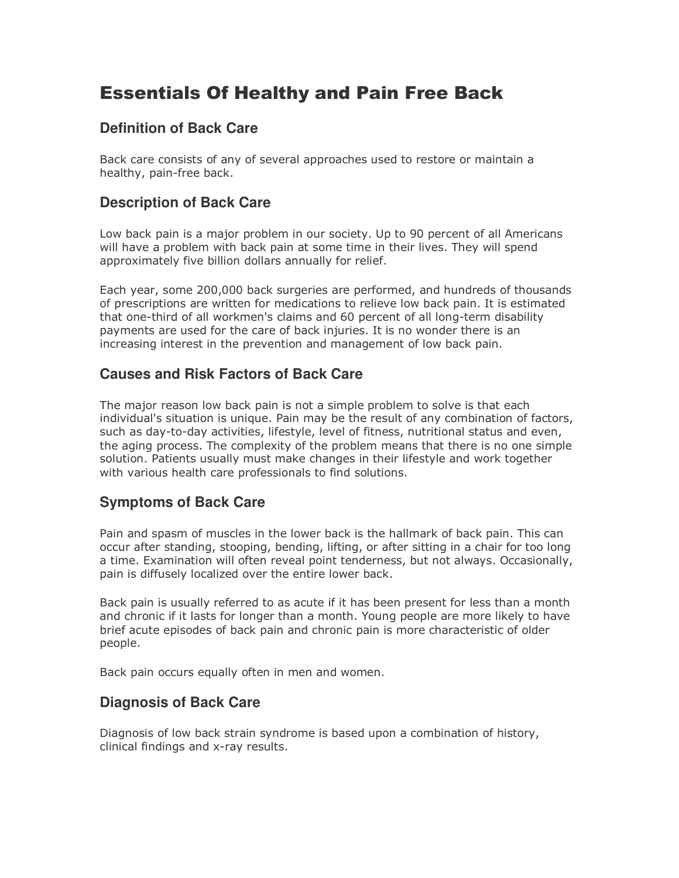# Essentials Of Healthy and Pain Free Back

## **Definition of Back Care**

Back care consists of any of several approaches used to restore or maintain a healthy, pain-free back.

## **Description of Back Care**

Low back pain is a major problem in our society. Up to 90 percent of all Americans will have a problem with back pain at some time in their lives. They will spend approximately five billion dollars annually for relief.

Each year, some 200,000 back surgeries are performed, and hundreds of thousands of prescriptions are written for medications to relieve low back pain. It is estimated that one-third of all workmen's claims and 60 percent of all long-term disability payments are used for the care of back injuries. It is no wonder there is an increasing interest in the prevention and management of low back pain.

## **Causes and Risk Factors of Back Care**

The major reason low back pain is not a simple problem to solve is that each individual's situation is unique. Pain may be the result of any combination of factors, such as day-to-day activities, lifestyle, level of fitness, nutritional status and even, the aging process. The complexity of the problem means that there is no one simple solution. Patients usually must make changes in their lifestyle and work together with various health care professionals to find solutions.

# **Symptoms of Back Care**

Pain and spasm of muscles in the lower back is the hallmark of back pain. This can occur after standing, stooping, bending, lifting, or after sitting in a chair for too long a time. Examination will often reveal point tenderness, but not always. Occasionally, pain is diffusely localized over the entire lower back.

Back pain is usually referred to as acute if it has been present for less than a month and chronic if it lasts for longer than a month. Young people are more likely to have brief acute episodes of back pain and chronic pain is more characteristic of older people.

Back pain occurs equally often in men and women.

## **Diagnosis of Back Care**

Diagnosis of low back strain syndrome is based upon a combination of history, clinical findings and x-ray results.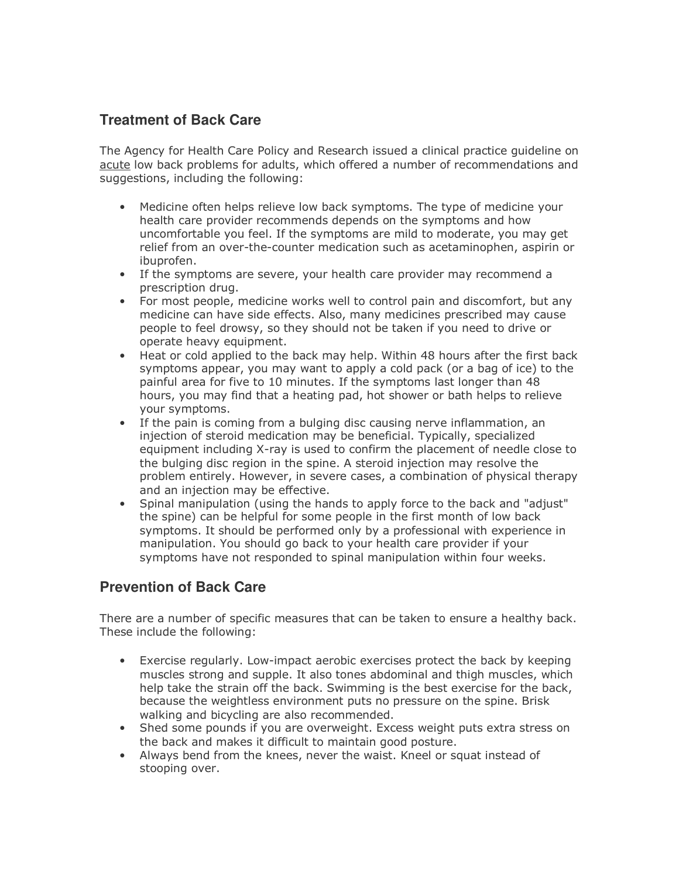## **Treatment of Back Care**

The Agency for Health Care Policy and Research issued a clinical practice guideline on acute low back problems for adults, which offered a number of recommendations and suggestions, including the following:

- Medicine often helps relieve low back symptoms. The type of medicine your health care provider recommends depends on the symptoms and how uncomfortable you feel. If the symptoms are mild to moderate, you may get relief from an over-the-counter medication such as acetaminophen, aspirin or ibuprofen.
- If the symptoms are severe, your health care provider may recommend a prescription drug.
- For most people, medicine works well to control pain and discomfort, but any medicine can have side effects. Also, many medicines prescribed may cause people to feel drowsy, so they should not be taken if you need to drive or operate heavy equipment.
- Heat or cold applied to the back may help. Within 48 hours after the first back symptoms appear, you may want to apply a cold pack (or a bag of ice) to the painful area for five to 10 minutes. If the symptoms last longer than 48 hours, you may find that a heating pad, hot shower or bath helps to relieve your symptoms.
- If the pain is coming from a bulging disc causing nerve inflammation, an injection of steroid medication may be beneficial. Typically, specialized equipment including X-ray is used to confirm the placement of needle close to the bulging disc region in the spine. A steroid injection may resolve the problem entirely. However, in severe cases, a combination of physical therapy and an injection may be effective.
- Spinal manipulation (using the hands to apply force to the back and "adjust" the spine) can be helpful for some people in the first month of low back symptoms. It should be performed only by a professional with experience in manipulation. You should go back to your health care provider if your symptoms have not responded to spinal manipulation within four weeks.

## **Prevention of Back Care**

There are a number of specific measures that can be taken to ensure a healthy back. These include the following:

- Exercise regularly. Low-impact aerobic exercises protect the back by keeping muscles strong and supple. It also tones abdominal and thigh muscles, which help take the strain off the back. Swimming is the best exercise for the back, because the weightless environment puts no pressure on the spine. Brisk walking and bicycling are also recommended.
- Shed some pounds if you are overweight. Excess weight puts extra stress on the back and makes it difficult to maintain good posture.
- Always bend from the knees, never the waist. Kneel or squat instead of stooping over.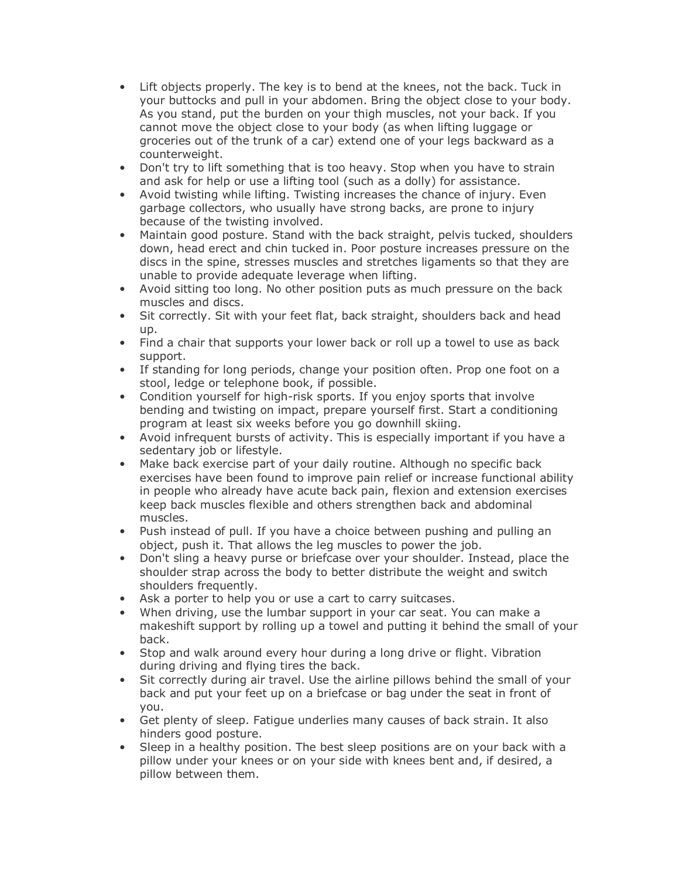- Lift objects properly. The key is to bend at the knees, not the back. Tuck in your buttocks and pull in your abdomen. Bring the object close to your body. As you stand, put the burden on your thigh muscles, not your back. If you cannot move the object close to your body (as when lifting luggage or groceries out of the trunk of a car) extend one of your legs backward as a counterweight.
- Don't try to lift something that is too heavy. Stop when you have to strain and ask for help or use a lifting tool (such as a dolly) for assistance.
- Avoid twisting while lifting. Twisting increases the chance of injury. Even garbage collectors, who usually have strong backs, are prone to injury because of the twisting involved.
- Maintain good posture. Stand with the back straight, pelvis tucked, shoulders down, head erect and chin tucked in. Poor posture increases pressure on the discs in the spine, stresses muscles and stretches ligaments so that they are unable to provide adequate leverage when lifting.
- Avoid sitting too long. No other position puts as much pressure on the back muscles and discs.
- Sit correctly. Sit with your feet flat, back straight, shoulders back and head up.
- Find a chair that supports your lower back or roll up a towel to use as back support.
- If standing for long periods, change your position often. Prop one foot on a stool, ledge or telephone book, if possible.
- Condition yourself for high-risk sports. If you enjoy sports that involve bending and twisting on impact, prepare yourself first. Start a conditioning program at least six weeks before you go downhill skiing.
- Avoid infrequent bursts of activity. This is especially important if you have a sedentary job or lifestyle.
- Make back exercise part of your daily routine. Although no specific back exercises have been found to improve pain relief or increase functional ability in people who already have acute back pain, flexion and extension exercises keep back muscles flexible and others strengthen back and abdominal muscles.
- Push instead of pull. If you have a choice between pushing and pulling an object, push it. That allows the leg muscles to power the job.
- Don't sling a heavy purse or briefcase over your shoulder. Instead, place the shoulder strap across the body to better distribute the weight and switch shoulders frequently.
- Ask a porter to help you or use a cart to carry suitcases.
- When driving, use the lumbar support in your car seat. You can make a makeshift support by rolling up a towel and putting it behind the small of your back.
- Stop and walk around every hour during a long drive or flight. Vibration during driving and flying tires the back.
- Sit correctly during air travel. Use the airline pillows behind the small of your back and put your feet up on a briefcase or bag under the seat in front of you.
- Get plenty of sleep. Fatigue underlies many causes of back strain. It also hinders good posture.
- Sleep in a healthy position. The best sleep positions are on your back with a pillow under your knees or on your side with knees bent and, if desired, a pillow between them.